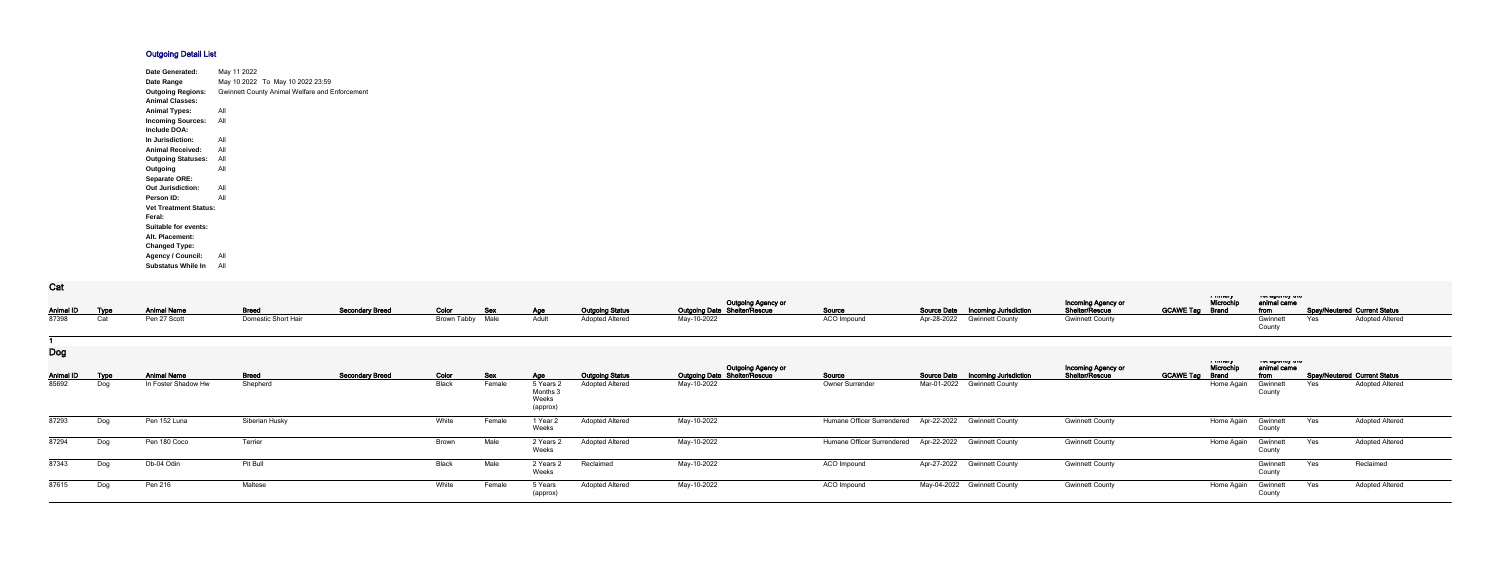## **Outgoing Detail List**

| Date Generated:              | May 11 2022                                           |
|------------------------------|-------------------------------------------------------|
| Date Range                   | May 10 2022 To May 10 2022 23:59                      |
| <b>Outgoing Regions:</b>     | <b>Gwinnett County Animal Welfare and Enforcement</b> |
| <b>Animal Classes:</b>       |                                                       |
| <b>Animal Types:</b>         | All                                                   |
| <b>Incoming Sources:</b>     | All                                                   |
| Include DOA:                 |                                                       |
| In Jurisdiction:             | All                                                   |
| <b>Animal Received:</b>      | All                                                   |
| <b>Outgoing Statuses:</b>    | All                                                   |
| Outgoing                     | All                                                   |
| <b>Separate ORE:</b>         |                                                       |
| <b>Out Jurisdiction:</b>     | All                                                   |
| Person ID:                   | All                                                   |
| <b>Vet Treatment Status:</b> |                                                       |
| Feral:                       |                                                       |
| Suitable for events:         |                                                       |
| Alt. Placement:              |                                                       |
| <b>Changed Type:</b>         |                                                       |
| <b>Agency / Council:</b>     | All                                                   |
| <b>Substatus While In</b>    | All                                                   |

## **Cat**

| <b>val</b>                |                    |                                           |                          |                        |                    |                      |                                                |                                                  |                                                                  |                            |                    |                                                             |                                      |                        |                            |                                          |     |                                                               |
|---------------------------|--------------------|-------------------------------------------|--------------------------|------------------------|--------------------|----------------------|------------------------------------------------|--------------------------------------------------|------------------------------------------------------------------|----------------------------|--------------------|-------------------------------------------------------------|--------------------------------------|------------------------|----------------------------|------------------------------------------|-----|---------------------------------------------------------------|
| <b>Animal ID</b>          | <b>Type</b>        | <b>Animal Name</b>                        | <b>Breed</b>             | <b>Secondary Breed</b> | Color              | Sex                  | <b>Age</b>                                     | <b>Outgoing Status</b>                           | <b>Outgoing Agency or</b><br><b>Outgoing Date Shelter/Rescue</b> | Source                     | <b>Source Date</b> | <b>Incoming Jurisdiction</b>                                | Incoming Agency or<br>Shelter/Rescue | <b>GCAWE Tag Brand</b> | in museum<br>Microchip     | ו סג טאַויטאַ זיי<br>animal came<br>from |     | <b>Spay/Neutered Current Status</b>                           |
| 87398                     | Cat                | Pen 27 Scott                              | Domestic Short Hair      |                        | <b>Brown Tabby</b> | Male                 | Adult                                          | <b>Adopted Altered</b>                           | May-10-2022                                                      | ACO Impound                | Apr-28-2022        | <b>Gwinnett County</b>                                      | <b>Gwinnett County</b>               |                        |                            | Gwinnet<br>County                        | Yes | <b>Adopted Altered</b>                                        |
| <b>Dog</b>                |                    |                                           |                          |                        |                    |                      |                                                |                                                  | <b>Outgoing Agency or</b>                                        |                            |                    |                                                             | Incoming Agency or                   |                        | a musiq<br>Microchip       | וויט עשטויט אויס<br>animal came          |     |                                                               |
| <b>Animal ID</b><br>85692 | <b>Type</b><br>Dog | <b>Animal Name</b><br>In Foster Shadow Hw | <b>Breed</b><br>Shepherd | <b>Secondary Breed</b> | Color<br>Black     | <b>Sex</b><br>Female | Age<br>5 Years<br>Months:<br>Weeks<br>(approx) | <b>Outgoing Status</b><br><b>Adopted Altered</b> | <b>Outgoing Date Shelter/Rescue</b><br>May-10-2022               | Source<br>Owner Surrender  | <b>Source Date</b> | <b>Incoming Jurisdiction</b><br>Mar-01-2022 Gwinnett County | Shelter/Rescue                       | <b>GCAWE Tag</b>       | <b>Brand</b><br>Home Again | from<br>Gwinnet<br>County                | Yes | <b>Spay/Neutered Current Status</b><br><b>Adopted Altered</b> |
| 87293                     | Dog                | Pen 152 Luna                              | Siberian Husky           |                        | White              | Female               | 1 Year 2<br>Weeks                              | <b>Adopted Altered</b>                           | May-10-2022                                                      | Humane Officer Surrendered |                    | Apr-22-2022 Gwinnett County                                 | <b>Gwinnett County</b>               |                        | Home Again                 | Gwinnett<br>County                       | Yes | <b>Adopted Altered</b>                                        |
| 87294                     | Dog                | Pen 180 Coco                              | Terrier                  |                        | <b>Brown</b>       | Male                 | 2 Years 2<br>Weeks                             | <b>Adopted Altered</b>                           | May-10-2022                                                      | Humane Officer Surrendered |                    | Apr-22-2022 Gwinnett County                                 | <b>Gwinnett County</b>               |                        | Home Again                 | Gwinnett<br>County                       | Yes | <b>Adopted Altered</b>                                        |
| 87343                     | Dog                | Db-04 Odin                                | Pit Bull                 |                        | Black              | Male                 | 2 Years 2<br>Weeks                             | Reclaimed                                        | May-10-2022                                                      | ACO Impound                |                    | Apr-27-2022 Gwinnett County                                 | <b>Gwinnett County</b>               |                        |                            | Gwinnett<br>County                       | Yes | Reclaimed                                                     |
| 87615                     | Dog                | Pen 216                                   | Maltese                  |                        | White              | Female               | 5 Years<br>(approx)                            | <b>Adopted Altered</b>                           | May-10-2022                                                      | ACO Impound                |                    | May-04-2022 Gwinnett County                                 | <b>Gwinnett County</b>               |                        | Home Again                 | Gwinnett<br>County                       | Yes | <b>Adopted Altered</b>                                        |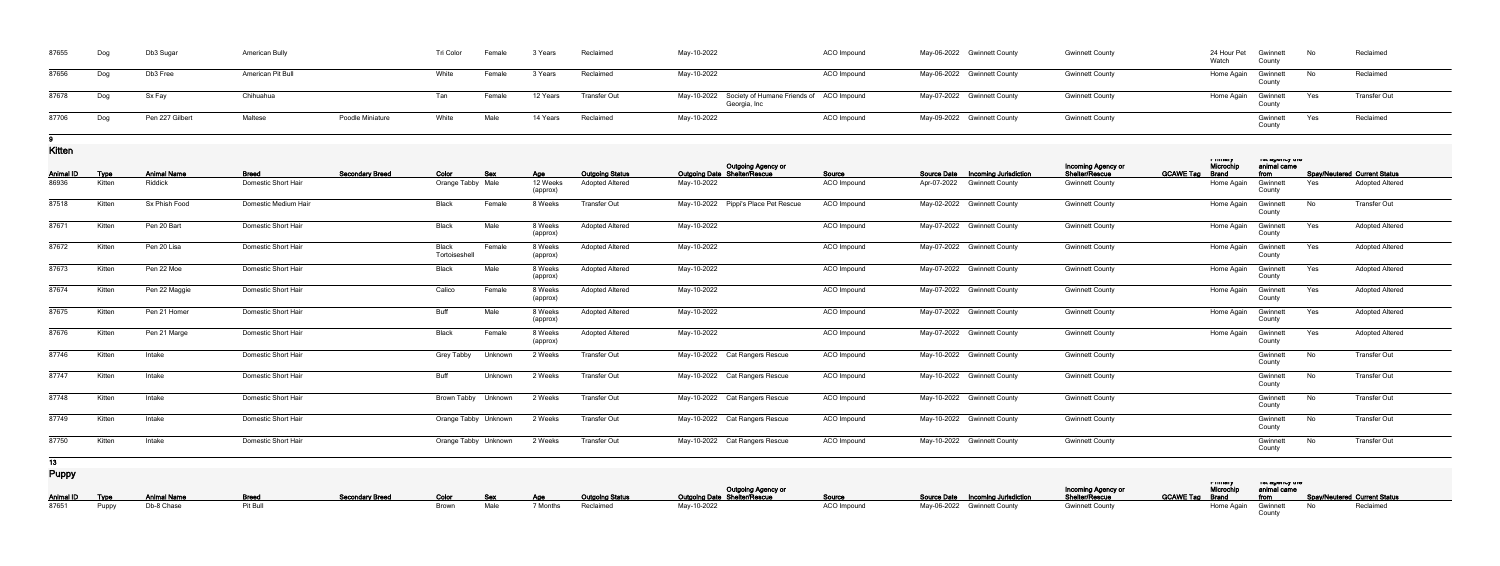| 87655 | Dog | Db3 Sugar       | <b>American Bully</b> |                         | Tri Color | Female | 3 Years  | Reclaimed           | May-10-2022                                                          | ACO Impound | May-06-2022 Gwinnett County | <b>Gwinnett County</b> | 24 Hour Pet Gwinnett<br>Watch<br>County | - No | Reclaimed           |
|-------|-----|-----------------|-----------------------|-------------------------|-----------|--------|----------|---------------------|----------------------------------------------------------------------|-------------|-----------------------------|------------------------|-----------------------------------------|------|---------------------|
| 87656 | Dog | Db3 Free        | American Pit Bull     |                         | White     | Female | 3 Years  | Reclaimed           | May-10-2022                                                          | ACO Impound | May-06-2022 Gwinnett County | <b>Gwinnett County</b> | Home Again Gwinnett<br>Count            | No   | Reclaimed           |
| 87678 | Dog | Sx Fay          | Chihuahua             |                         | Tan       | Female | 12 Years | <b>Transfer Out</b> | May-10-2022 Society of Humane Friends of ACO Impound<br>Georgia, Inc |             | May-07-2022 Gwinnett County | <b>Gwinnett County</b> | Home Again Gwinnett                     | Yes  | <b>Transfer Out</b> |
| 87706 | Dog | Pen 227 Gilbert | Maltese               | <b>Poodle Miniature</b> | White     | Male   | 14 Years | Reclaimed           | May-10-2022                                                          | ACO Impound | May-09-2022 Gwinnett County | <b>Gwinnett County</b> | Gwinnett<br>County                      | Yes  | Reclaimed           |

## **9**

**Kitten**

| <b>Animal ID</b> | <b>Type</b> | <b>Animal Name</b> | <b>Breed</b>               | <b>Secondary Breed</b> | Color                  | Sex     |                                    | <b>Outgoing Status</b> | <b>Outgoing Agency or</b><br>Outgoing Date Shelter/Rescue | Source      | <b>Source Date</b> | <b>Incoming Jurisdiction</b> | Incoming Agency or<br>Shelter/Rescue | <b>GCAWE Tag</b> | <b>TERRITARY</b><br>Microchip<br><b>Brand</b> | not agonoy uro<br>animal came<br>from |     | <b>Spay/Neutered Current Status</b> |
|------------------|-------------|--------------------|----------------------------|------------------------|------------------------|---------|------------------------------------|------------------------|-----------------------------------------------------------|-------------|--------------------|------------------------------|--------------------------------------|------------------|-----------------------------------------------|---------------------------------------|-----|-------------------------------------|
| 86936            | Kitten      | Riddick            | Domestic Short Hair        |                        | Orange Tabby Male      |         | <u>Age</u><br>12 Weeks<br>(approx) | <b>Adopted Altered</b> | May-10-2022                                               | ACO Impound | Apr-07-2022        | <b>Gwinnett County</b>       | <b>Gwinnett County</b>               |                  | Home Agair                                    | Gwinnet<br>County                     | Yes | <b>Adopted Altered</b>              |
| 87518            | Kitten      | Sx Phish Food      | Domestic Medium Hair       |                        | <b>Black</b>           | Female  | 8 Weeks                            | <b>Transfer Out</b>    | May-10-2022 Pippi's Place Pet Rescue                      | ACO Impound |                    | May-02-2022 Gwinnett County  | <b>Gwinnett County</b>               |                  | Home Again                                    | Gwinnett<br>County                    | No  | <b>Transfer Out</b>                 |
| 87671            | Kitten      | Pen 20 Bart        | Domestic Short Hair        |                        | Black                  | Male    | 8 Weeks<br>(approx)                | <b>Adopted Altered</b> | May-10-2022                                               | ACO Impound |                    | May-07-2022 Gwinnett County  | <b>Gwinnett County</b>               |                  | Home Again                                    | Gwinnett<br>County                    | Yes | <b>Adopted Altered</b>              |
| 87672            | Kitten      | Pen 20 Lisa        | Domestic Short Hair        |                        | Black<br>Tortoiseshell | Female  | 8 Weeks<br>(approx)                | <b>Adopted Altered</b> | May-10-2022                                               | ACO Impound |                    | May-07-2022 Gwinnett County  | <b>Gwinnett County</b>               |                  | Home Again                                    | Gwinnett<br>County                    | Yes | <b>Adopted Altered</b>              |
| 87673            | Kitten      | Pen 22 Moe         | <b>Domestic Short Hair</b> |                        | <b>Black</b>           | Male    | 8 Weeks<br>(approx)                | <b>Adopted Altered</b> | May-10-2022                                               | ACO Impound |                    | May-07-2022 Gwinnett County  | <b>Gwinnett County</b>               |                  | Home Again                                    | Gwinnett<br>County                    | Yes | <b>Adopted Altered</b>              |
| 87674            | Kitten      | Pen 22 Maggie      | Domestic Short Hair        |                        | Calico                 | Female  | 8 Weeks<br>(approx)                | <b>Adopted Altered</b> | May-10-2022                                               | ACO Impound |                    | May-07-2022 Gwinnett County  | <b>Gwinnett County</b>               |                  | Home Again                                    | Gwinnett<br>County                    | Yes | <b>Adopted Altered</b>              |
| 87675            | Kitten      | Pen 21 Homer       | Domestic Short Hair        |                        | Buff                   | Male    | 8 Weeks<br>(approx)                | <b>Adopted Altered</b> | May-10-2022                                               | ACO Impound |                    | May-07-2022 Gwinnett County  | <b>Gwinnett County</b>               |                  | Home Again                                    | Gwinnett<br>County                    | Yes | <b>Adopted Altered</b>              |
| 87676            | Kitten      | Pen 21 Marge       | Domestic Short Hair        |                        | <b>Black</b>           | Female  | 8 Weeks<br>(approx)                | <b>Adopted Altered</b> | May-10-2022                                               | ACO Impound |                    | May-07-2022 Gwinnett County  | <b>Gwinnett County</b>               |                  | Home Again                                    | Gwinnett<br>County                    | Yes | <b>Adopted Altered</b>              |
| 87746            | Kitten      | Intake             | Domestic Short Hair        |                        | <b>Grey Tabby</b>      | Unknown | 2 Weeks                            | <b>Transfer Out</b>    | May-10-2022 Cat Rangers Rescue                            | ACO Impound |                    | May-10-2022 Gwinnett County  | <b>Gwinnett County</b>               |                  |                                               | Gwinnett<br>County                    | No  | <b>Transfer Out</b>                 |
| 87747            | Kitten      | Intake             | <b>Domestic Short Hair</b> |                        | Buff                   | Unknown | 2 Weeks                            | <b>Transfer Out</b>    | May-10-2022 Cat Rangers Rescue                            | ACO Impound |                    | May-10-2022 Gwinnett County  | <b>Gwinnett County</b>               |                  |                                               | Gwinnett<br>County                    | No  | <b>Transfer Out</b>                 |
| 87748            | Kitten      | Intake             | Domestic Short Hair        |                        | Brown Tabby Unknown    |         | 2 Weeks                            | <b>Transfer Out</b>    | May-10-2022 Cat Rangers Rescue                            | ACO Impound |                    | May-10-2022 Gwinnett County  | <b>Gwinnett County</b>               |                  |                                               | Gwinnett<br>County                    | No  | <b>Transfer Out</b>                 |
| 87749            | Kitten      | Intake             | <b>Domestic Short Hair</b> |                        | Orange Tabby Unknown   |         | 2 Weeks                            | <b>Transfer Out</b>    | May-10-2022 Cat Rangers Rescue                            | ACO Impound |                    | May-10-2022 Gwinnett County  | <b>Gwinnett County</b>               |                  |                                               | Gwinnett<br>County                    | No  | <b>Transfer Out</b>                 |
| 87750            | Kitten      | Intake             | Domestic Short Hair        |                        | Orange Tabby Unknown   |         | 2 Weeks                            | <b>Transfer Out</b>    | May-10-2022 Cat Rangers Rescue                            | ACO Impound |                    | May-10-2022 Gwinnett County  | <b>Gwinnett County</b>               |                  |                                               | Gwinnet<br>County                     | No  | <b>Transfer Out</b>                 |
| 13 <sup>7</sup>  |             |                    |                            |                        |                        |         |                                    |                        |                                                           |             |                    |                              |                                      |                  |                                               |                                       |     |                                     |
| <b>Puppy</b>     |             |                    |                            |                        |                        |         |                                    |                        |                                                           |             |                    |                              |                                      |                  | a music y                                     | יוט עשטויטן וויט                      |     |                                     |

|  |                                               |          |                                               |            |                    | Outgoing Agency or<br>Cutgoing Date Shelter/Rescue<br>Cutgoing Date Shelter/Rescue |             |                                          | <b>Incoming Agency or<br/>Shelter/Rescue</b> | a music | יט נששטווטץ נווט | Microchip animal came<br>GCAWE Tag Brand from Spay/Neutered Current Status |
|--|-----------------------------------------------|----------|-----------------------------------------------|------------|--------------------|------------------------------------------------------------------------------------|-------------|------------------------------------------|----------------------------------------------|---------|------------------|----------------------------------------------------------------------------|
|  | <b>Animal ID Type Animal Name Breed Breed</b> |          | Secondary Breed Color Sex Age Outgoing Status |            |                    |                                                                                    |             | <b>Source Date Incoming Jurisdiction</b> |                                              |         |                  |                                                                            |
|  | 87651 Puppy Db-8 Chase                        | Pit Bull |                                               | Brown Male | 7 Months Reclaimed | May-10-2022                                                                        | ACO Impound | May-06-2022 Gwinnett County              | <b>Gwinnett County</b>                       |         |                  | Home Again Gwinnett No Reclaimed                                           |
|  |                                               |          |                                               |            |                    |                                                                                    |             |                                          |                                              |         |                  |                                                                            |